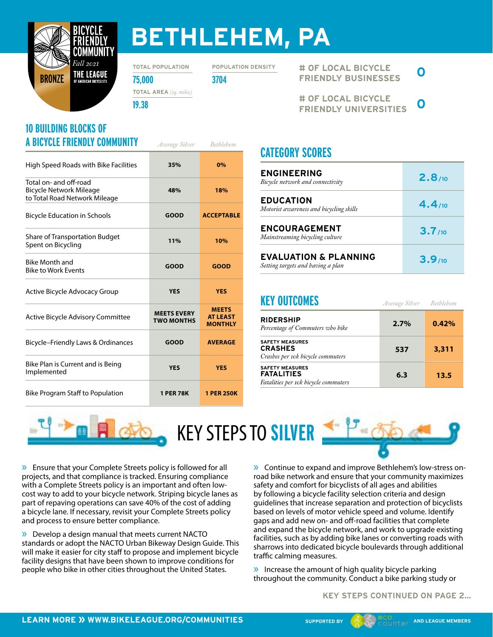

## **BETHLEHEM, PA**

**TOTAL POPULATION**

**POPULATION DENSITY**

**75,000 3704 TOTAL AREA** *(sq. miles)*

**19.38**

#### **10 BUILDING BLOCKS OF A BICYCLE FRIENDLY COMMUNITY** *Average Silver Bethlehem*

| High Speed Roads with Bike Facilities                                                     | 35%                                     | 0%                                                |
|-------------------------------------------------------------------------------------------|-----------------------------------------|---------------------------------------------------|
| Total on- and off-road<br><b>Bicycle Network Mileage</b><br>to Total Road Network Mileage | 48%                                     | 18%                                               |
| <b>Bicycle Education in Schools</b>                                                       | <b>GOOD</b>                             | <b>ACCEPTABLE</b>                                 |
| <b>Share of Transportation Budget</b><br>Spent on Bicycling                               | 11%                                     | 10%                                               |
| <b>Bike Month and</b><br><b>Bike to Work Events</b>                                       | <b>GOOD</b>                             | <b>GOOD</b>                                       |
| Active Bicycle Advocacy Group                                                             | <b>YES</b>                              | <b>YES</b>                                        |
| Active Bicycle Advisory Committee                                                         | <b>MEETS EVERY</b><br><b>TWO MONTHS</b> | <b>MEETS</b><br><b>AT LEAST</b><br><b>MONTHLY</b> |
| Bicycle-Friendly Laws & Ordinances                                                        | <b>GOOD</b>                             | <b>AVERAGE</b>                                    |
| Bike Plan is Current and is Being<br>Implemented                                          | <b>YES</b>                              | <b>YES</b>                                        |
| <b>Bike Program Staff to Population</b>                                                   | <b>1 PER 78K</b>                        | <b>1 PER 250K</b>                                 |

**# OF LOCAL BICYCLE FRIENDLY BUSINESSES 0**

**# OF LOCAL BICYCLE FRIENDLY UNIVERSITIES 0**

#### **CATEGORY SCORES**

| <b>ENGINEERING</b><br>Bicycle network and connectivity                | 2.8/10 |
|-----------------------------------------------------------------------|--------|
| <b>EDUCATION</b><br>Motorist awareness and bicycling skills           | 4.4/10 |
| <b>ENCOURAGEMENT</b><br>Mainstreaming bicycling culture               | 3.7/10 |
| <b>EVALUATION &amp; PLANNING</b><br>Setting targets and having a plan | 3.9/10 |

#### **KEY OUTCOMES**

| 2.7% | 0.42% |
|------|-------|
| 537  | 3,311 |
| 6.3  | 13.5  |
|      |       |

*Bethlehem*

*Average Silver*



» Ensure that your Complete Streets policy is followed for all projects, and that compliance is tracked. Ensuring compliance with a Complete Streets policy is an important and often lowcost way to add to your bicycle network. Striping bicycle lanes as part of repaving operations can save 40% of the cost of adding a bicycle lane. If necessary, revisit your Complete Streets policy and process to ensure better compliance.

» Develop a design manual that meets current NACTO standards or adopt the NACTO Urban Bikeway Design Guide. This will make it easier for city staff to propose and implement bicycle facility designs that have been shown to improve conditions for people who bike in other cities throughout the United States.

» Continue to expand and improve Bethlehem's low-stress onroad bike network and ensure that your community maximizes safety and comfort for bicyclists of all ages and abilities by following a bicycle facility selection criteria and design guidelines that increase separation and protection of bicyclists based on levels of motor vehicle speed and volume. Identify gaps and add new on- and off-road facilities that complete and expand the bicycle network, and work to upgrade existing facilities, such as by adding bike lanes or converting roads with sharrows into dedicated bicycle boulevards through additional traffic calming measures.

» Increase the amount of high quality bicycle parking throughout the community. Conduct a bike parking study or

**KEY STEPS CONTINUED ON PAGE 2...**